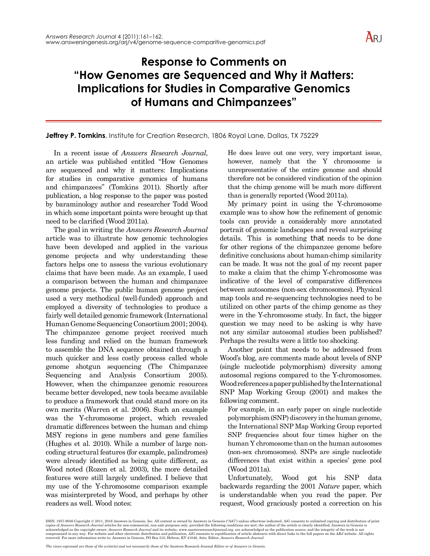

## **Response to Comments on "How Genomes are Sequenced and Why it Matters: Implications for Studies in Comparative Genomics of Humans and Chimpanzees"**

## **Jeffrey P. Tomkins**, Institute for Creation Research, 1806 Royal Lane, Dallas, TX 75229

In a recent issue of *Answers Research Journal*, an article was published entitled "How Genomes are sequenced and why it matters: Implications for studies in comparative genomics of humans and chimpanzees" (Tomkins 2011). Shortly after publication, a blog response to the paper was posted by baraminology author and researcher Todd Wood in which some important points were brought up that need to be clarified (Wood 2011a).

The goal in writing the *Answers Research Journal* article was to illustrate how genomic technologies have been developed and applied in the various genome projects and why understanding these factors helps one to assess the various evolutionary claims that have been made. As an example, I used a comparison between the human and chimpanzee genome projects. The public human genome project used a very methodical (well-funded) approach and employed a diversity of technologies to produce a fairly well detailed genomic framework (International Human Genome Sequencing Consortium 2001; 2004). The chimpanzee genome project received much less funding and relied on the human framework to assemble the DNA sequence obtained through a much quicker and less costly process called whole genome shotgun sequencing (The Chimpanzee Sequencing and Analysis Consortium 2005). However, when the chimpanzee genomic resources became better developed, new tools became available to produce a framework that could stand more on its own merits (Warren et al. 2006). Such an example was the Y-chromosome project, which revealed dramatic differences between the human and chimp MSY regions in gene numbers and gene families (Hughes et al. 2010). While a number of large noncoding structural features (for example, palindromes) were already identified as being quite different, as Wood noted (Rozen et al. 2003), the more detailed features were still largely undefined. I believe that my use of the Y-chromosome comparison example was misinterpreted by Wood, and perhaps by other readers as well. Wood notes:

He does leave out one very, very important issue, however, namely that the Y chromosome is unrepresentative of the entire genome and should therefore not be considered vindication of the opinion that the chimp genome will be much more different than is generally reported (Wood 2011a).

My primary point in using the Y-chromosome example was to show how the refinement of genomic tools can provide a considerably more annotated portrait of genomic landscapes and reveal surprising details. This is something that needs to be done for other regions of the chimpanzee genome before definitive conclusions about human-chimp similarity can be made. It was not the goal of my recent paper to make a claim that the chimp Y-chromosome was indicative of the level of comparative differences between autosomes (non-sex chromosomes). Physical map tools and re-sequencing technologies need to be utilized on other parts of the chimp genome as they were in the Y-chromosome study. In fact, the bigger question we may need to be asking is why have not any similar autosomal studies been published? Perhaps the results were a little too shocking.

Another point that needs to be addressed from Wood's blog, are comments made about levels of SNP (single nucleotide polymorphism) diversity among autosomal regions compared to the Y-chromosomes. Wood references a paper published by the International SNP Map Working Group (2001) and makes the following comment.

For example, in an early paper on single nucleotide polymorphism (SNP) discovery in the human genome, the International SNP Map Working Group reported SNP frequencies about four times higher on the human Y chromosome than on the human autosomes (non-sex chromosomes). SNPs are single nucleotide differences that exist within a species' gene pool (Wood 2011a).

Unfortunately, Wood got his SNP data backwards regarding the 2001 *Nature* paper, which is understandable when you read the paper. Per request, Wood graciously posted a correction on his

ISSN: 1937-9056 Copyright © 2011, 2016 Answers in Genesis, Inc. All content is owned by Answers in Genesis ("AiG") unless otherwise indicated. AiG consents to unlimited copying and distribution of print copies of Answers Research Journal articles for non-commercial, non-sale purposes only, provided the following conditions are met: the author of the article is clearly identified; Answers in Genesis is<br>acknowledged as the